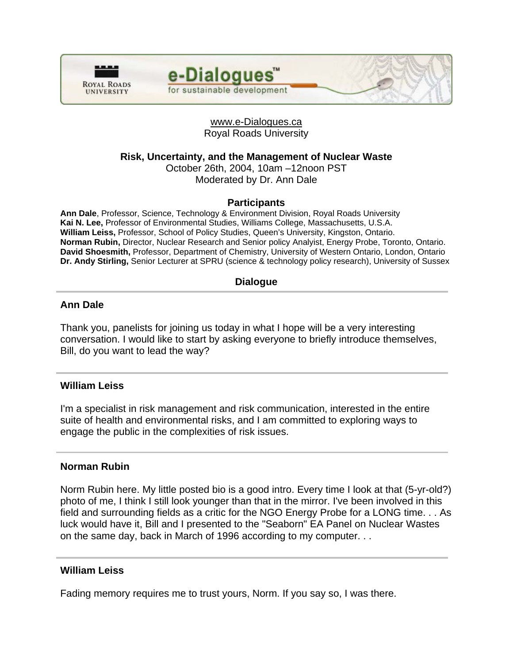



## www.e-Dialogues.ca Royal Roads University

**Risk, Uncertainty, and the Management of Nuclear Waste** 

October 26th, 2004, 10am –12noon PST Moderated by Dr. Ann Dale

# **Participants**

**Ann Dale**, Professor, Science, Technology & Environment Division, Royal Roads University **Kai N. Lee,** Professor of Environmental Studies, Williams College, Massachusetts, U.S.A. **William Leiss,** Professor, School of Policy Studies, Queen's University, Kingston, Ontario. **Norman Rubin,** Director, Nuclear Research and Senior policy Analyist, Energy Probe, Toronto, Ontario. **David Shoesmith,** Professor, Department of Chemistry, University of Western Ontario, London, Ontario **Dr. Andy Stirling,** Senior Lecturer at SPRU (science & technology policy research), University of Sussex

# **Dialogue**

# **Ann Dale**

Thank you, panelists for joining us today in what I hope will be a very interesting conversation. I would like to start by asking everyone to briefly introduce themselves, Bill, do you want to lead the way?

## **William Leiss**

I'm a specialist in risk management and risk communication, interested in the entire suite of health and environmental risks, and I am committed to exploring ways to engage the public in the complexities of risk issues.

## **Norman Rubin**

Norm Rubin here. My little posted bio is a good intro. Every time I look at that (5-yr-old?) photo of me, I think I still look younger than that in the mirror. I've been involved in this field and surrounding fields as a critic for the NGO Energy Probe for a LONG time. . . As luck would have it, Bill and I presented to the "Seaborn" EA Panel on Nuclear Wastes on the same day, back in March of 1996 according to my computer. . .

## **William Leiss**

Fading memory requires me to trust yours, Norm. If you say so, I was there.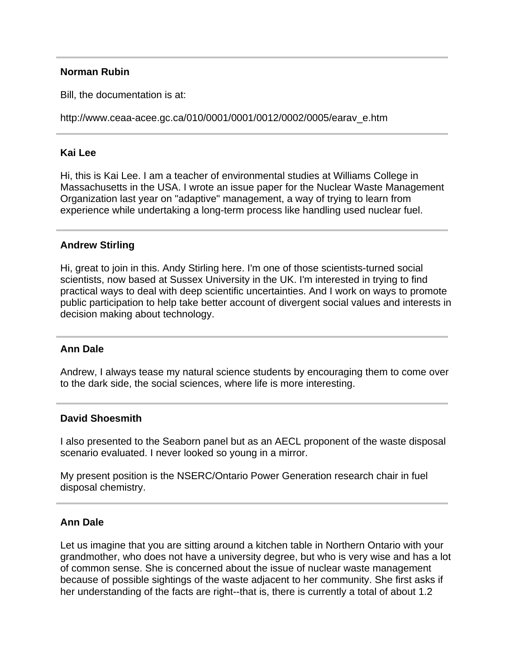### **Norman Rubin**

Bill, the documentation is at:

http://www.ceaa-acee.gc.ca/010/0001/0001/0012/0002/0005/earav\_e.htm

## **Kai Lee**

Hi, this is Kai Lee. I am a teacher of environmental studies at Williams College in Massachusetts in the USA. I wrote an issue paper for the Nuclear Waste Management Organization last year on "adaptive" management, a way of trying to learn from experience while undertaking a long-term process like handling used nuclear fuel.

## **Andrew Stirling**

Hi, great to join in this. Andy Stirling here. I'm one of those scientists-turned social scientists, now based at Sussex University in the UK. I'm interested in trying to find practical ways to deal with deep scientific uncertainties. And I work on ways to promote public participation to help take better account of divergent social values and interests in decision making about technology.

#### **Ann Dale**

Andrew, I always tease my natural science students by encouraging them to come over to the dark side, the social sciences, where life is more interesting.

#### **David Shoesmith**

I also presented to the Seaborn panel but as an AECL proponent of the waste disposal scenario evaluated. I never looked so young in a mirror.

My present position is the NSERC/Ontario Power Generation research chair in fuel disposal chemistry.

#### **Ann Dale**

Let us imagine that you are sitting around a kitchen table in Northern Ontario with your grandmother, who does not have a university degree, but who is very wise and has a lot of common sense. She is concerned about the issue of nuclear waste management because of possible sightings of the waste adjacent to her community. She first asks if her understanding of the facts are right--that is, there is currently a total of about 1.2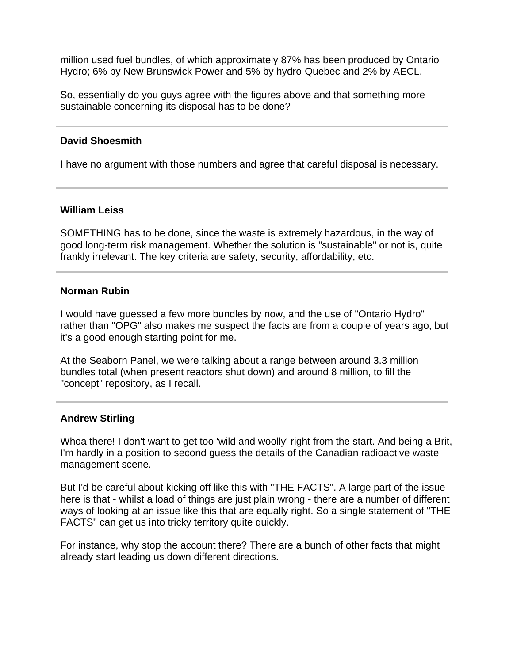million used fuel bundles, of which approximately 87% has been produced by Ontario Hydro; 6% by New Brunswick Power and 5% by hydro-Quebec and 2% by AECL.

So, essentially do you guys agree with the figures above and that something more sustainable concerning its disposal has to be done?

### **David Shoesmith**

I have no argument with those numbers and agree that careful disposal is necessary.

### **William Leiss**

SOMETHING has to be done, since the waste is extremely hazardous, in the way of good long-term risk management. Whether the solution is "sustainable" or not is, quite frankly irrelevant. The key criteria are safety, security, affordability, etc.

#### **Norman Rubin**

I would have guessed a few more bundles by now, and the use of "Ontario Hydro" rather than "OPG" also makes me suspect the facts are from a couple of years ago, but it's a good enough starting point for me.

At the Seaborn Panel, we were talking about a range between around 3.3 million bundles total (when present reactors shut down) and around 8 million, to fill the "concept" repository, as I recall.

## **Andrew Stirling**

Whoa there! I don't want to get too 'wild and woolly' right from the start. And being a Brit, I'm hardly in a position to second guess the details of the Canadian radioactive waste management scene.

But I'd be careful about kicking off like this with "THE FACTS". A large part of the issue here is that - whilst a load of things are just plain wrong - there are a number of different ways of looking at an issue like this that are equally right. So a single statement of "THE FACTS" can get us into tricky territory quite quickly.

For instance, why stop the account there? There are a bunch of other facts that might already start leading us down different directions.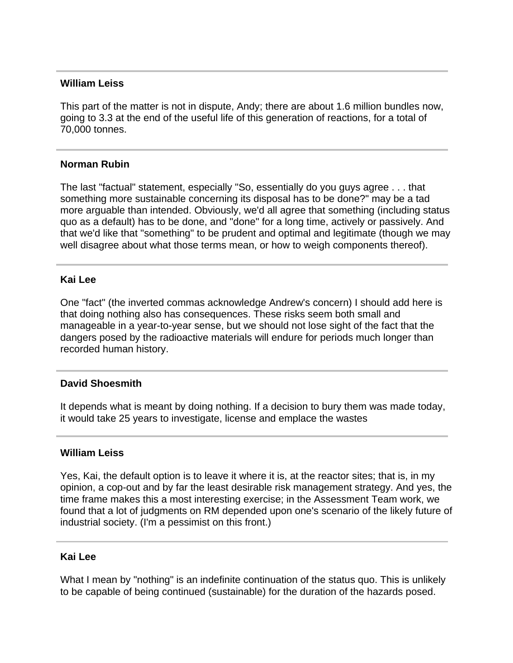### **William Leiss**

This part of the matter is not in dispute, Andy; there are about 1.6 million bundles now, going to 3.3 at the end of the useful life of this generation of reactions, for a total of 70,000 tonnes.

### **Norman Rubin**

The last "factual" statement, especially "So, essentially do you guys agree . . . that something more sustainable concerning its disposal has to be done?" may be a tad more arguable than intended. Obviously, we'd all agree that something (including status quo as a default) has to be done, and "done" for a long time, actively or passively. And that we'd like that "something" to be prudent and optimal and legitimate (though we may well disagree about what those terms mean, or how to weigh components thereof).

### **Kai Lee**

One "fact" (the inverted commas acknowledge Andrew's concern) I should add here is that doing nothing also has consequences. These risks seem both small and manageable in a year-to-year sense, but we should not lose sight of the fact that the dangers posed by the radioactive materials will endure for periods much longer than recorded human history.

## **David Shoesmith**

It depends what is meant by doing nothing. If a decision to bury them was made today, it would take 25 years to investigate, license and emplace the wastes

### **William Leiss**

Yes, Kai, the default option is to leave it where it is, at the reactor sites; that is, in my opinion, a cop-out and by far the least desirable risk management strategy. And yes, the time frame makes this a most interesting exercise; in the Assessment Team work, we found that a lot of judgments on RM depended upon one's scenario of the likely future of industrial society. (I'm a pessimist on this front.)

## **Kai Lee**

What I mean by "nothing" is an indefinite continuation of the status quo. This is unlikely to be capable of being continued (sustainable) for the duration of the hazards posed.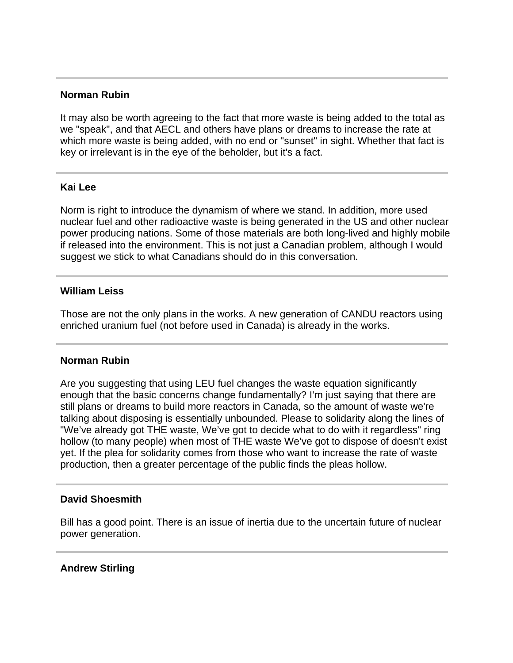#### **Norman Rubin**

It may also be worth agreeing to the fact that more waste is being added to the total as we "speak", and that AECL and others have plans or dreams to increase the rate at which more waste is being added, with no end or "sunset" in sight. Whether that fact is key or irrelevant is in the eye of the beholder, but it's a fact.

### **Kai Lee**

Norm is right to introduce the dynamism of where we stand. In addition, more used nuclear fuel and other radioactive waste is being generated in the US and other nuclear power producing nations. Some of those materials are both long-lived and highly mobile if released into the environment. This is not just a Canadian problem, although I would suggest we stick to what Canadians should do in this conversation.

#### **William Leiss**

Those are not the only plans in the works. A new generation of CANDU reactors using enriched uranium fuel (not before used in Canada) is already in the works.

#### **Norman Rubin**

Are you suggesting that using LEU fuel changes the waste equation significantly enough that the basic concerns change fundamentally? I'm just saying that there are still plans or dreams to build more reactors in Canada, so the amount of waste we're talking about disposing is essentially unbounded. Please to solidarity along the lines of "We've already got THE waste, We've got to decide what to do with it regardless" ring hollow (to many people) when most of THE waste We've got to dispose of doesn't exist yet. If the plea for solidarity comes from those who want to increase the rate of waste production, then a greater percentage of the public finds the pleas hollow.

#### **David Shoesmith**

Bill has a good point. There is an issue of inertia due to the uncertain future of nuclear power generation.

## **Andrew Stirling**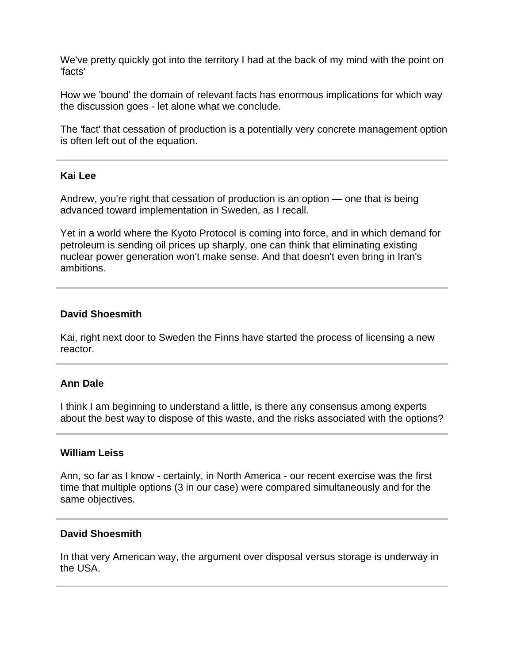We've pretty quickly got into the territory I had at the back of my mind with the point on 'facts'

How we 'bound' the domain of relevant facts has enormous implications for which way the discussion goes - let alone what we conclude.

The 'fact' that cessation of production is a potentially very concrete management option is often left out of the equation.

#### **Kai Lee**

Andrew, you're right that cessation of production is an option — one that is being advanced toward implementation in Sweden, as I recall.

Yet in a world where the Kyoto Protocol is coming into force, and in which demand for petroleum is sending oil prices up sharply, one can think that eliminating existing nuclear power generation won't make sense. And that doesn't even bring in Iran's ambitions.

## **David Shoesmith**

Kai, right next door to Sweden the Finns have started the process of licensing a new reactor.

## **Ann Dale**

I think I am beginning to understand a little, is there any consensus among experts about the best way to dispose of this waste, and the risks associated with the options?

### **William Leiss**

Ann, so far as I know - certainly, in North America - our recent exercise was the first time that multiple options (3 in our case) were compared simultaneously and for the same objectives.

#### **David Shoesmith**

In that very American way, the argument over disposal versus storage is underway in the USA.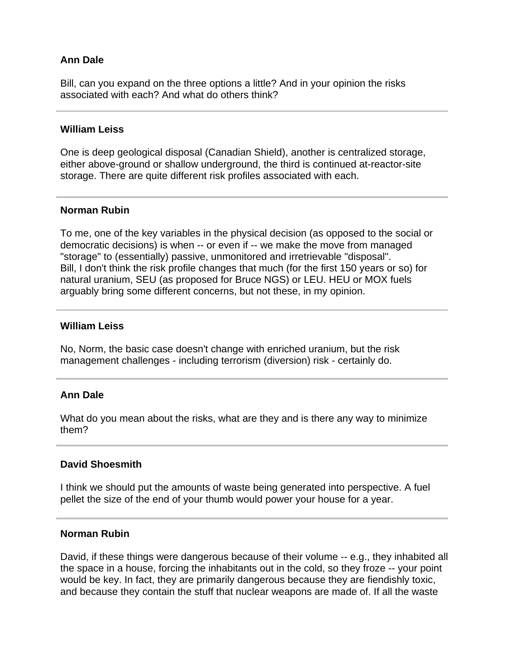# **Ann Dale**

Bill, can you expand on the three options a little? And in your opinion the risks associated with each? And what do others think?

### **William Leiss**

One is deep geological disposal (Canadian Shield), another is centralized storage, either above-ground or shallow underground, the third is continued at-reactor-site storage. There are quite different risk profiles associated with each.

### **Norman Rubin**

To me, one of the key variables in the physical decision (as opposed to the social or democratic decisions) is when -- or even if -- we make the move from managed "storage" to (essentially) passive, unmonitored and irretrievable "disposal". Bill, I don't think the risk profile changes that much (for the first 150 years or so) for natural uranium, SEU (as proposed for Bruce NGS) or LEU. HEU or MOX fuels arguably bring some different concerns, but not these, in my opinion.

### **William Leiss**

No, Norm, the basic case doesn't change with enriched uranium, but the risk management challenges - including terrorism (diversion) risk - certainly do.

## **Ann Dale**

What do you mean about the risks, what are they and is there any way to minimize them?

## **David Shoesmith**

I think we should put the amounts of waste being generated into perspective. A fuel pellet the size of the end of your thumb would power your house for a year.

### **Norman Rubin**

David, if these things were dangerous because of their volume -- e.g., they inhabited all the space in a house, forcing the inhabitants out in the cold, so they froze -- your point would be key. In fact, they are primarily dangerous because they are fiendishly toxic, and because they contain the stuff that nuclear weapons are made of. If all the waste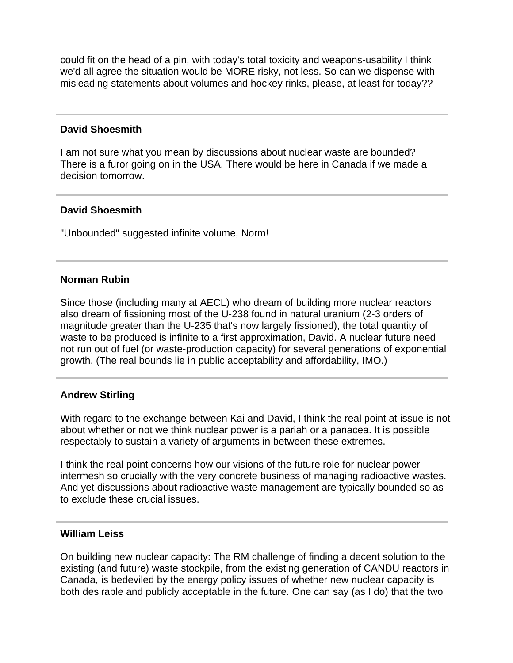could fit on the head of a pin, with today's total toxicity and weapons-usability I think we'd all agree the situation would be MORE risky, not less. So can we dispense with misleading statements about volumes and hockey rinks, please, at least for today??

### **David Shoesmith**

I am not sure what you mean by discussions about nuclear waste are bounded? There is a furor going on in the USA. There would be here in Canada if we made a decision tomorrow.

## **David Shoesmith**

"Unbounded" suggested infinite volume, Norm!

### **Norman Rubin**

Since those (including many at AECL) who dream of building more nuclear reactors also dream of fissioning most of the U-238 found in natural uranium (2-3 orders of magnitude greater than the U-235 that's now largely fissioned), the total quantity of waste to be produced is infinite to a first approximation, David. A nuclear future need not run out of fuel (or waste-production capacity) for several generations of exponential growth. (The real bounds lie in public acceptability and affordability, IMO.)

## **Andrew Stirling**

With regard to the exchange between Kai and David, I think the real point at issue is not about whether or not we think nuclear power is a pariah or a panacea. It is possible respectably to sustain a variety of arguments in between these extremes.

I think the real point concerns how our visions of the future role for nuclear power intermesh so crucially with the very concrete business of managing radioactive wastes. And yet discussions about radioactive waste management are typically bounded so as to exclude these crucial issues.

#### **William Leiss**

On building new nuclear capacity: The RM challenge of finding a decent solution to the existing (and future) waste stockpile, from the existing generation of CANDU reactors in Canada, is bedeviled by the energy policy issues of whether new nuclear capacity is both desirable and publicly acceptable in the future. One can say (as I do) that the two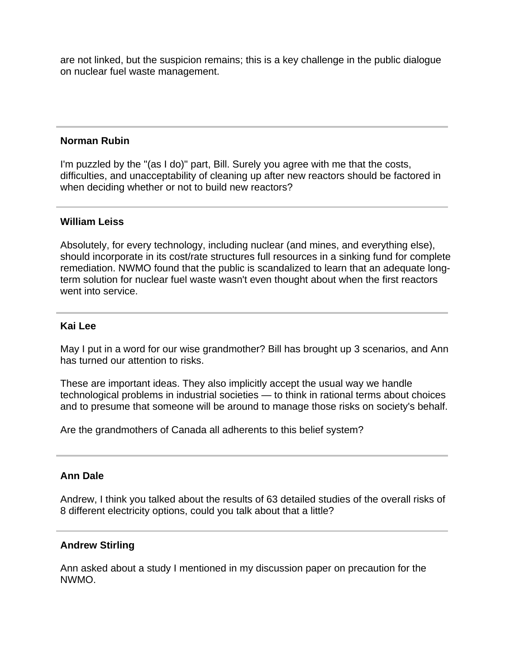are not linked, but the suspicion remains; this is a key challenge in the public dialogue on nuclear fuel waste management.

### **Norman Rubin**

I'm puzzled by the "(as I do)" part, Bill. Surely you agree with me that the costs, difficulties, and unacceptability of cleaning up after new reactors should be factored in when deciding whether or not to build new reactors?

### **William Leiss**

Absolutely, for every technology, including nuclear (and mines, and everything else), should incorporate in its cost/rate structures full resources in a sinking fund for complete remediation. NWMO found that the public is scandalized to learn that an adequate longterm solution for nuclear fuel waste wasn't even thought about when the first reactors went into service.

### **Kai Lee**

May I put in a word for our wise grandmother? Bill has brought up 3 scenarios, and Ann has turned our attention to risks.

These are important ideas. They also implicitly accept the usual way we handle technological problems in industrial societies — to think in rational terms about choices and to presume that someone will be around to manage those risks on society's behalf.

Are the grandmothers of Canada all adherents to this belief system?

## **Ann Dale**

Andrew, I think you talked about the results of 63 detailed studies of the overall risks of 8 different electricity options, could you talk about that a little?

## **Andrew Stirling**

Ann asked about a study I mentioned in my discussion paper on precaution for the NWMO.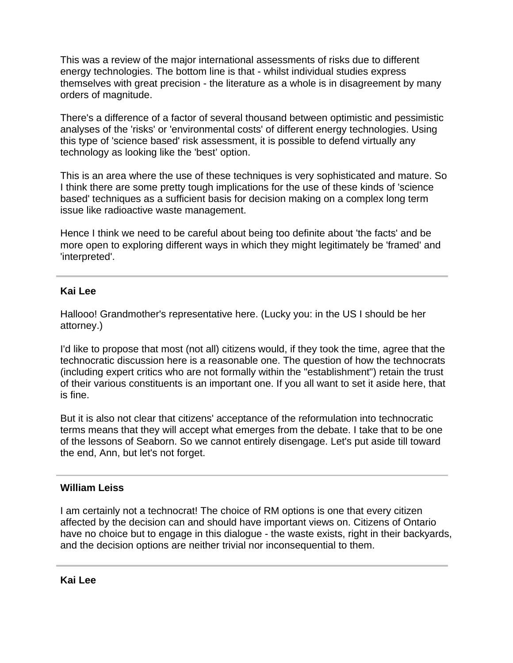This was a review of the major international assessments of risks due to different energy technologies. The bottom line is that - whilst individual studies express themselves with great precision - the literature as a whole is in disagreement by many orders of magnitude.

There's a difference of a factor of several thousand between optimistic and pessimistic analyses of the 'risks' or 'environmental costs' of different energy technologies. Using this type of 'science based' risk assessment, it is possible to defend virtually any technology as looking like the 'best' option.

This is an area where the use of these techniques is very sophisticated and mature. So I think there are some pretty tough implications for the use of these kinds of 'science based' techniques as a sufficient basis for decision making on a complex long term issue like radioactive waste management.

Hence I think we need to be careful about being too definite about 'the facts' and be more open to exploring different ways in which they might legitimately be 'framed' and 'interpreted'.

# **Kai Lee**

Hallooo! Grandmother's representative here. (Lucky you: in the US I should be her attorney.)

I'd like to propose that most (not all) citizens would, if they took the time, agree that the technocratic discussion here is a reasonable one. The question of how the technocrats (including expert critics who are not formally within the "establishment") retain the trust of their various constituents is an important one. If you all want to set it aside here, that is fine.

But it is also not clear that citizens' acceptance of the reformulation into technocratic terms means that they will accept what emerges from the debate. I take that to be one of the lessons of Seaborn. So we cannot entirely disengage. Let's put aside till toward the end, Ann, but let's not forget.

## **William Leiss**

I am certainly not a technocrat! The choice of RM options is one that every citizen affected by the decision can and should have important views on. Citizens of Ontario have no choice but to engage in this dialogue - the waste exists, right in their backyards, and the decision options are neither trivial nor inconsequential to them.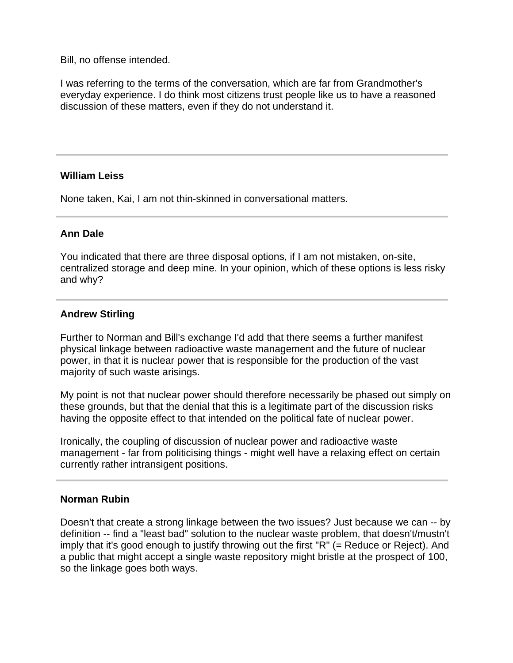Bill, no offense intended.

I was referring to the terms of the conversation, which are far from Grandmother's everyday experience. I do think most citizens trust people like us to have a reasoned discussion of these matters, even if they do not understand it.

## **William Leiss**

None taken, Kai, I am not thin-skinned in conversational matters.

# **Ann Dale**

You indicated that there are three disposal options, if I am not mistaken, on-site, centralized storage and deep mine. In your opinion, which of these options is less risky and why?

# **Andrew Stirling**

Further to Norman and Bill's exchange I'd add that there seems a further manifest physical linkage between radioactive waste management and the future of nuclear power, in that it is nuclear power that is responsible for the production of the vast majority of such waste arisings.

My point is not that nuclear power should therefore necessarily be phased out simply on these grounds, but that the denial that this is a legitimate part of the discussion risks having the opposite effect to that intended on the political fate of nuclear power.

Ironically, the coupling of discussion of nuclear power and radioactive waste management - far from politicising things - might well have a relaxing effect on certain currently rather intransigent positions.

## **Norman Rubin**

Doesn't that create a strong linkage between the two issues? Just because we can -- by definition -- find a "least bad" solution to the nuclear waste problem, that doesn't/mustn't imply that it's good enough to justify throwing out the first "R" (= Reduce or Reject). And a public that might accept a single waste repository might bristle at the prospect of 100, so the linkage goes both ways.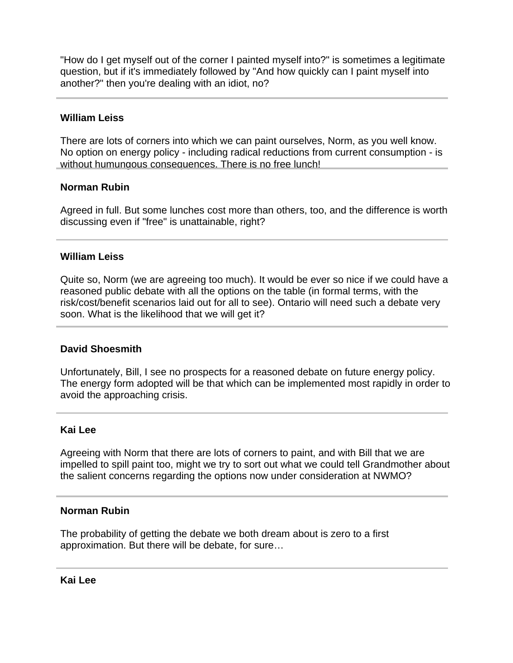"How do I get myself out of the corner I painted myself into?" is sometimes a legitimate question, but if it's immediately followed by "And how quickly can I paint myself into another?" then you're dealing with an idiot, no?

## **William Leiss**

There are lots of corners into which we can paint ourselves, Norm, as you well know. No option on energy policy - including radical reductions from current consumption - is without humungous consequences. There is no free lunch!

## **Norman Rubin**

Agreed in full. But some lunches cost more than others, too, and the difference is worth discussing even if "free" is unattainable, right?

## **William Leiss**

Quite so, Norm (we are agreeing too much). It would be ever so nice if we could have a reasoned public debate with all the options on the table (in formal terms, with the risk/cost/benefit scenarios laid out for all to see). Ontario will need such a debate very soon. What is the likelihood that we will get it?

## **David Shoesmith**

Unfortunately, Bill, I see no prospects for a reasoned debate on future energy policy. The energy form adopted will be that which can be implemented most rapidly in order to avoid the approaching crisis.

## **Kai Lee**

Agreeing with Norm that there are lots of corners to paint, and with Bill that we are impelled to spill paint too, might we try to sort out what we could tell Grandmother about the salient concerns regarding the options now under consideration at NWMO?

#### **Norman Rubin**

The probability of getting the debate we both dream about is zero to a first approximation. But there will be debate, for sure…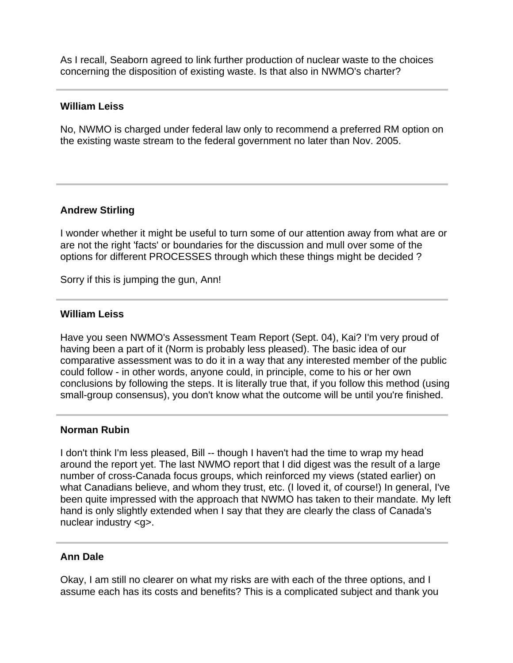As I recall, Seaborn agreed to link further production of nuclear waste to the choices concerning the disposition of existing waste. Is that also in NWMO's charter?

### **William Leiss**

No, NWMO is charged under federal law only to recommend a preferred RM option on the existing waste stream to the federal government no later than Nov. 2005.

# **Andrew Stirling**

I wonder whether it might be useful to turn some of our attention away from what are or are not the right 'facts' or boundaries for the discussion and mull over some of the options for different PROCESSES through which these things might be decided ?

Sorry if this is jumping the gun, Ann!

### **William Leiss**

Have you seen NWMO's Assessment Team Report (Sept. 04), Kai? I'm very proud of having been a part of it (Norm is probably less pleased). The basic idea of our comparative assessment was to do it in a way that any interested member of the public could follow - in other words, anyone could, in principle, come to his or her own conclusions by following the steps. It is literally true that, if you follow this method (using small-group consensus), you don't know what the outcome will be until you're finished.

#### **Norman Rubin**

I don't think I'm less pleased, Bill -- though I haven't had the time to wrap my head around the report yet. The last NWMO report that I did digest was the result of a large number of cross-Canada focus groups, which reinforced my views (stated earlier) on what Canadians believe, and whom they trust, etc. (I loved it, of course!) In general, I've been quite impressed with the approach that NWMO has taken to their mandate. My left hand is only slightly extended when I say that they are clearly the class of Canada's nuclear industry <g>.

#### **Ann Dale**

Okay, I am still no clearer on what my risks are with each of the three options, and I assume each has its costs and benefits? This is a complicated subject and thank you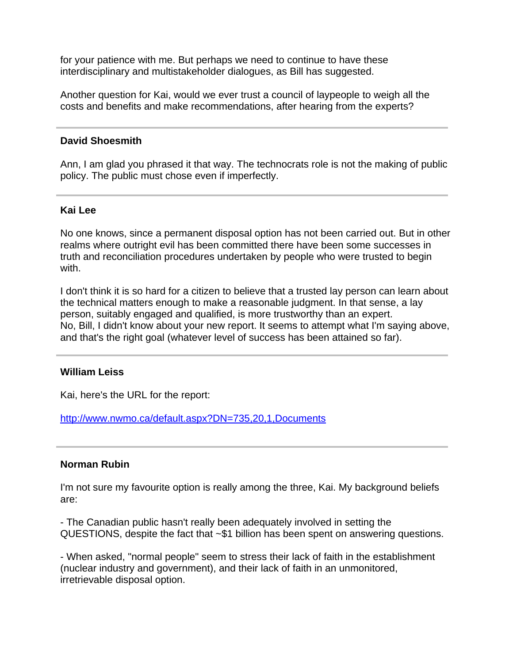for your patience with me. But perhaps we need to continue to have these interdisciplinary and multistakeholder dialogues, as Bill has suggested.

Another question for Kai, would we ever trust a council of laypeople to weigh all the costs and benefits and make recommendations, after hearing from the experts?

### **David Shoesmith**

Ann, I am glad you phrased it that way. The technocrats role is not the making of public policy. The public must chose even if imperfectly.

#### **Kai Lee**

No one knows, since a permanent disposal option has not been carried out. But in other realms where outright evil has been committed there have been some successes in truth and reconciliation procedures undertaken by people who were trusted to begin with.

I don't think it is so hard for a citizen to believe that a trusted lay person can learn about the technical matters enough to make a reasonable judgment. In that sense, a lay person, suitably engaged and qualified, is more trustworthy than an expert. No, Bill, I didn't know about your new report. It seems to attempt what I'm saying above, and that's the right goal (whatever level of success has been attained so far).

#### **William Leiss**

Kai, here's the URL for the report:

<http://www.nwmo.ca/default.aspx?DN=735,20,1,Documents>

#### **Norman Rubin**

I'm not sure my favourite option is really among the three, Kai. My background beliefs are:

- The Canadian public hasn't really been adequately involved in setting the QUESTIONS, despite the fact that ~\$1 billion has been spent on answering questions.

- When asked, "normal people" seem to stress their lack of faith in the establishment (nuclear industry and government), and their lack of faith in an unmonitored, irretrievable disposal option.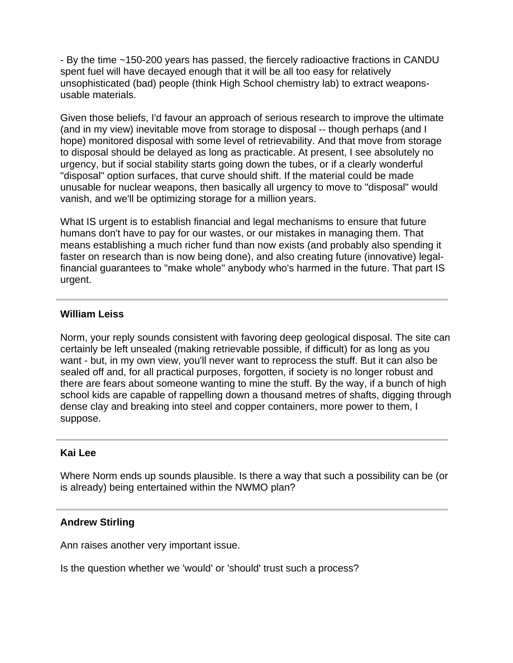- By the time ~150-200 years has passed, the fiercely radioactive fractions in CANDU spent fuel will have decayed enough that it will be all too easy for relatively unsophisticated (bad) people (think High School chemistry lab) to extract weaponsusable materials.

Given those beliefs, I'd favour an approach of serious research to improve the ultimate (and in my view) inevitable move from storage to disposal -- though perhaps (and I hope) monitored disposal with some level of retrievability. And that move from storage to disposal should be delayed as long as practicable. At present, I see absolutely no urgency, but if social stability starts going down the tubes, or if a clearly wonderful "disposal" option surfaces, that curve should shift. If the material could be made unusable for nuclear weapons, then basically all urgency to move to "disposal" would vanish, and we'll be optimizing storage for a million years.

What IS urgent is to establish financial and legal mechanisms to ensure that future humans don't have to pay for our wastes, or our mistakes in managing them. That means establishing a much richer fund than now exists (and probably also spending it faster on research than is now being done), and also creating future (innovative) legalfinancial guarantees to "make whole" anybody who's harmed in the future. That part IS urgent.

# **William Leiss**

Norm, your reply sounds consistent with favoring deep geological disposal. The site can certainly be left unsealed (making retrievable possible, if difficult) for as long as you want - but, in my own view, you'll never want to reprocess the stuff. But it can also be sealed off and, for all practical purposes, forgotten, if society is no longer robust and there are fears about someone wanting to mine the stuff. By the way, if a bunch of high school kids are capable of rappelling down a thousand metres of shafts, digging through dense clay and breaking into steel and copper containers, more power to them, I suppose.

## **Kai Lee**

Where Norm ends up sounds plausible. Is there a way that such a possibility can be (or is already) being entertained within the NWMO plan?

## **Andrew Stirling**

Ann raises another very important issue.

Is the question whether we 'would' or 'should' trust such a process?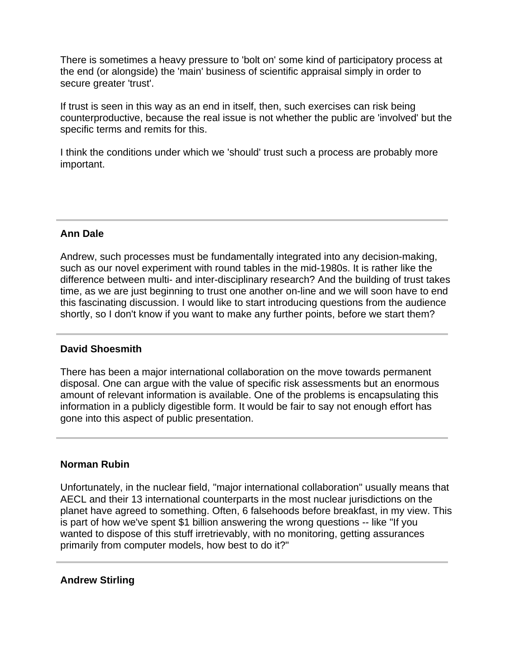There is sometimes a heavy pressure to 'bolt on' some kind of participatory process at the end (or alongside) the 'main' business of scientific appraisal simply in order to secure greater 'trust'.

If trust is seen in this way as an end in itself, then, such exercises can risk being counterproductive, because the real issue is not whether the public are 'involved' but the specific terms and remits for this.

I think the conditions under which we 'should' trust such a process are probably more important.

# **Ann Dale**

Andrew, such processes must be fundamentally integrated into any decision-making, such as our novel experiment with round tables in the mid-1980s. It is rather like the difference between multi- and inter-disciplinary research? And the building of trust takes time, as we are just beginning to trust one another on-line and we will soon have to end this fascinating discussion. I would like to start introducing questions from the audience shortly, so I don't know if you want to make any further points, before we start them?

## **David Shoesmith**

There has been a major international collaboration on the move towards permanent disposal. One can argue with the value of specific risk assessments but an enormous amount of relevant information is available. One of the problems is encapsulating this information in a publicly digestible form. It would be fair to say not enough effort has gone into this aspect of public presentation.

## **Norman Rubin**

Unfortunately, in the nuclear field, "major international collaboration" usually means that AECL and their 13 international counterparts in the most nuclear jurisdictions on the planet have agreed to something. Often, 6 falsehoods before breakfast, in my view. This is part of how we've spent \$1 billion answering the wrong questions -- like "If you wanted to dispose of this stuff irretrievably, with no monitoring, getting assurances primarily from computer models, how best to do it?"

## **Andrew Stirling**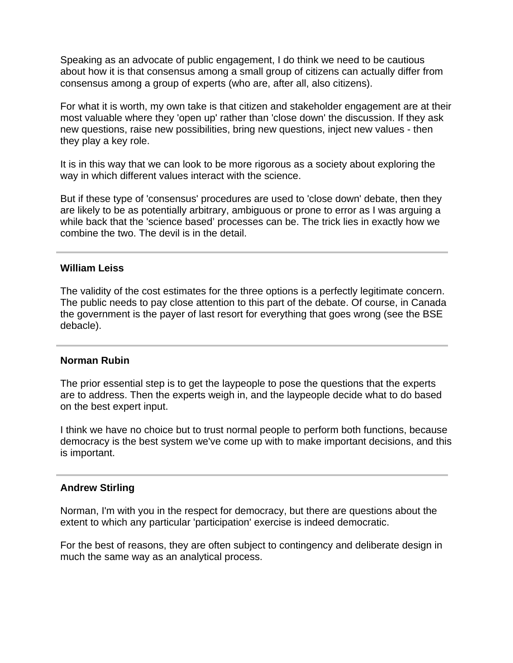Speaking as an advocate of public engagement, I do think we need to be cautious about how it is that consensus among a small group of citizens can actually differ from consensus among a group of experts (who are, after all, also citizens).

For what it is worth, my own take is that citizen and stakeholder engagement are at their most valuable where they 'open up' rather than 'close down' the discussion. If they ask new questions, raise new possibilities, bring new questions, inject new values - then they play a key role.

It is in this way that we can look to be more rigorous as a society about exploring the way in which different values interact with the science.

But if these type of 'consensus' procedures are used to 'close down' debate, then they are likely to be as potentially arbitrary, ambiguous or prone to error as I was arguing a while back that the 'science based' processes can be. The trick lies in exactly how we combine the two. The devil is in the detail.

### **William Leiss**

The validity of the cost estimates for the three options is a perfectly legitimate concern. The public needs to pay close attention to this part of the debate. Of course, in Canada the government is the payer of last resort for everything that goes wrong (see the BSE debacle).

#### **Norman Rubin**

The prior essential step is to get the laypeople to pose the questions that the experts are to address. Then the experts weigh in, and the laypeople decide what to do based on the best expert input.

I think we have no choice but to trust normal people to perform both functions, because democracy is the best system we've come up with to make important decisions, and this is important.

#### **Andrew Stirling**

Norman, I'm with you in the respect for democracy, but there are questions about the extent to which any particular 'participation' exercise is indeed democratic.

For the best of reasons, they are often subject to contingency and deliberate design in much the same way as an analytical process.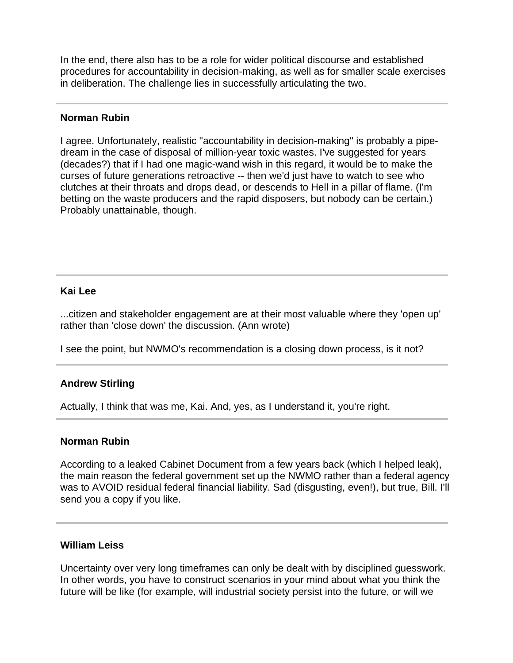In the end, there also has to be a role for wider political discourse and established procedures for accountability in decision-making, as well as for smaller scale exercises in deliberation. The challenge lies in successfully articulating the two.

### **Norman Rubin**

I agree. Unfortunately, realistic "accountability in decision-making" is probably a pipedream in the case of disposal of million-year toxic wastes. I've suggested for years (decades?) that if I had one magic-wand wish in this regard, it would be to make the curses of future generations retroactive -- then we'd just have to watch to see who clutches at their throats and drops dead, or descends to Hell in a pillar of flame. (I'm betting on the waste producers and the rapid disposers, but nobody can be certain.) Probably unattainable, though.

### **Kai Lee**

...citizen and stakeholder engagement are at their most valuable where they 'open up' rather than 'close down' the discussion. (Ann wrote)

I see the point, but NWMO's recommendation is a closing down process, is it not?

## **Andrew Stirling**

Actually, I think that was me, Kai. And, yes, as I understand it, you're right.

#### **Norman Rubin**

According to a leaked Cabinet Document from a few years back (which I helped leak), the main reason the federal government set up the NWMO rather than a federal agency was to AVOID residual federal financial liability. Sad (disgusting, even!), but true, Bill. I'll send you a copy if you like.

#### **William Leiss**

Uncertainty over very long timeframes can only be dealt with by disciplined guesswork. In other words, you have to construct scenarios in your mind about what you think the future will be like (for example, will industrial society persist into the future, or will we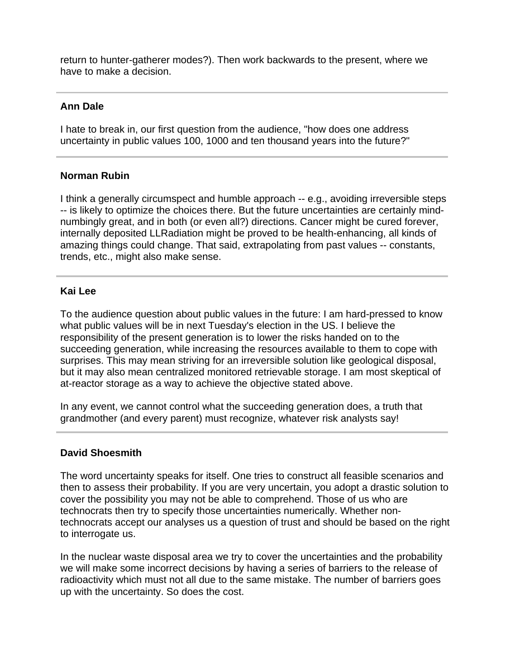return to hunter-gatherer modes?). Then work backwards to the present, where we have to make a decision.

## **Ann Dale**

I hate to break in, our first question from the audience, "how does one address uncertainty in public values 100, 1000 and ten thousand years into the future?"

# **Norman Rubin**

I think a generally circumspect and humble approach -- e.g., avoiding irreversible steps -- is likely to optimize the choices there. But the future uncertainties are certainly mindnumbingly great, and in both (or even all?) directions. Cancer might be cured forever, internally deposited LLRadiation might be proved to be health-enhancing, all kinds of amazing things could change. That said, extrapolating from past values -- constants, trends, etc., might also make sense.

## **Kai Lee**

To the audience question about public values in the future: I am hard-pressed to know what public values will be in next Tuesday's election in the US. I believe the responsibility of the present generation is to lower the risks handed on to the succeeding generation, while increasing the resources available to them to cope with surprises. This may mean striving for an irreversible solution like geological disposal, but it may also mean centralized monitored retrievable storage. I am most skeptical of at-reactor storage as a way to achieve the objective stated above.

In any event, we cannot control what the succeeding generation does, a truth that grandmother (and every parent) must recognize, whatever risk analysts say!

## **David Shoesmith**

The word uncertainty speaks for itself. One tries to construct all feasible scenarios and then to assess their probability. If you are very uncertain, you adopt a drastic solution to cover the possibility you may not be able to comprehend. Those of us who are technocrats then try to specify those uncertainties numerically. Whether nontechnocrats accept our analyses us a question of trust and should be based on the right to interrogate us.

In the nuclear waste disposal area we try to cover the uncertainties and the probability we will make some incorrect decisions by having a series of barriers to the release of radioactivity which must not all due to the same mistake. The number of barriers goes up with the uncertainty. So does the cost.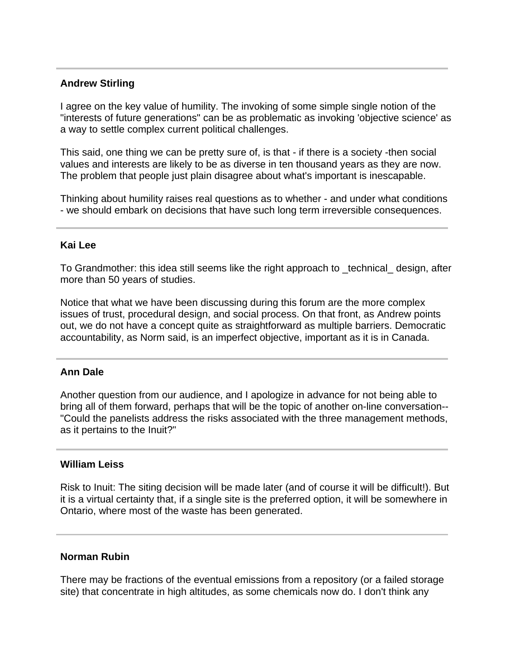## **Andrew Stirling**

I agree on the key value of humility. The invoking of some simple single notion of the "interests of future generations" can be as problematic as invoking 'objective science' as a way to settle complex current political challenges.

This said, one thing we can be pretty sure of, is that - if there is a society -then social values and interests are likely to be as diverse in ten thousand years as they are now. The problem that people just plain disagree about what's important is inescapable.

Thinking about humility raises real questions as to whether - and under what conditions - we should embark on decisions that have such long term irreversible consequences.

#### **Kai Lee**

To Grandmother: this idea still seems like the right approach to \_technical\_ design, after more than 50 years of studies.

Notice that what we have been discussing during this forum are the more complex issues of trust, procedural design, and social process. On that front, as Andrew points out, we do not have a concept quite as straightforward as multiple barriers. Democratic accountability, as Norm said, is an imperfect objective, important as it is in Canada.

## **Ann Dale**

Another question from our audience, and I apologize in advance for not being able to bring all of them forward, perhaps that will be the topic of another on-line conversation-- "Could the panelists address the risks associated with the three management methods, as it pertains to the Inuit?"

#### **William Leiss**

Risk to Inuit: The siting decision will be made later (and of course it will be difficult!). But it is a virtual certainty that, if a single site is the preferred option, it will be somewhere in Ontario, where most of the waste has been generated.

### **Norman Rubin**

There may be fractions of the eventual emissions from a repository (or a failed storage site) that concentrate in high altitudes, as some chemicals now do. I don't think any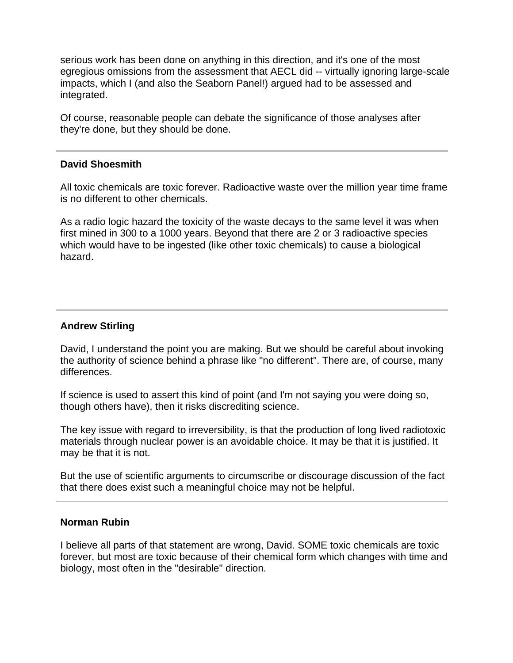serious work has been done on anything in this direction, and it's one of the most egregious omissions from the assessment that AECL did -- virtually ignoring large-scale impacts, which I (and also the Seaborn Panel!) argued had to be assessed and integrated.

Of course, reasonable people can debate the significance of those analyses after they're done, but they should be done.

#### **David Shoesmith**

All toxic chemicals are toxic forever. Radioactive waste over the million year time frame is no different to other chemicals.

As a radio logic hazard the toxicity of the waste decays to the same level it was when first mined in 300 to a 1000 years. Beyond that there are 2 or 3 radioactive species which would have to be ingested (like other toxic chemicals) to cause a biological hazard.

### **Andrew Stirling**

David, I understand the point you are making. But we should be careful about invoking the authority of science behind a phrase like "no different". There are, of course, many differences.

If science is used to assert this kind of point (and I'm not saying you were doing so, though others have), then it risks discrediting science.

The key issue with regard to irreversibility, is that the production of long lived radiotoxic materials through nuclear power is an avoidable choice. It may be that it is justified. It may be that it is not.

But the use of scientific arguments to circumscribe or discourage discussion of the fact that there does exist such a meaningful choice may not be helpful.

### **Norman Rubin**

I believe all parts of that statement are wrong, David. SOME toxic chemicals are toxic forever, but most are toxic because of their chemical form which changes with time and biology, most often in the "desirable" direction.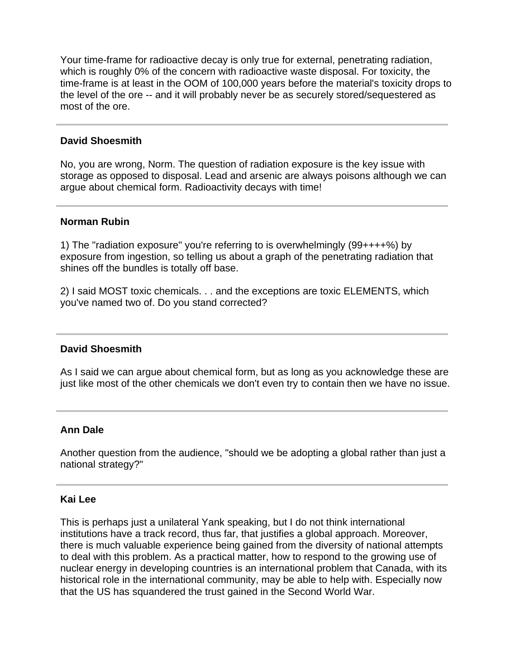Your time-frame for radioactive decay is only true for external, penetrating radiation, which is roughly 0% of the concern with radioactive waste disposal. For toxicity, the time-frame is at least in the OOM of 100,000 years before the material's toxicity drops to the level of the ore -- and it will probably never be as securely stored/sequestered as most of the ore.

### **David Shoesmith**

No, you are wrong, Norm. The question of radiation exposure is the key issue with storage as opposed to disposal. Lead and arsenic are always poisons although we can argue about chemical form. Radioactivity decays with time!

#### **Norman Rubin**

1) The "radiation exposure" you're referring to is overwhelmingly (99++++%) by exposure from ingestion, so telling us about a graph of the penetrating radiation that shines off the bundles is totally off base.

2) I said MOST toxic chemicals. . . and the exceptions are toxic ELEMENTS, which you've named two of. Do you stand corrected?

#### **David Shoesmith**

As I said we can argue about chemical form, but as long as you acknowledge these are just like most of the other chemicals we don't even try to contain then we have no issue.

#### **Ann Dale**

Another question from the audience, "should we be adopting a global rather than just a national strategy?"

#### **Kai Lee**

This is perhaps just a unilateral Yank speaking, but I do not think international institutions have a track record, thus far, that justifies a global approach. Moreover, there is much valuable experience being gained from the diversity of national attempts to deal with this problem. As a practical matter, how to respond to the growing use of nuclear energy in developing countries is an international problem that Canada, with its historical role in the international community, may be able to help with. Especially now that the US has squandered the trust gained in the Second World War.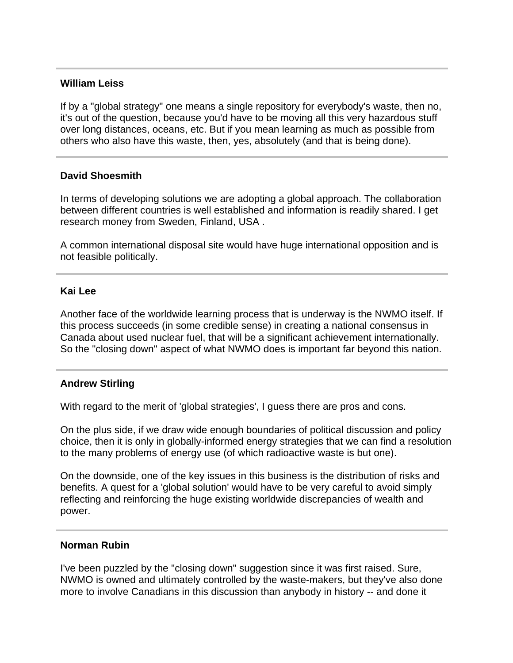### **William Leiss**

If by a "global strategy" one means a single repository for everybody's waste, then no, it's out of the question, because you'd have to be moving all this very hazardous stuff over long distances, oceans, etc. But if you mean learning as much as possible from others who also have this waste, then, yes, absolutely (and that is being done).

### **David Shoesmith**

In terms of developing solutions we are adopting a global approach. The collaboration between different countries is well established and information is readily shared. I get research money from Sweden, Finland, USA .

A common international disposal site would have huge international opposition and is not feasible politically.

#### **Kai Lee**

Another face of the worldwide learning process that is underway is the NWMO itself. If this process succeeds (in some credible sense) in creating a national consensus in Canada about used nuclear fuel, that will be a significant achievement internationally. So the "closing down" aspect of what NWMO does is important far beyond this nation.

#### **Andrew Stirling**

With regard to the merit of 'global strategies', I guess there are pros and cons.

On the plus side, if we draw wide enough boundaries of political discussion and policy choice, then it is only in globally-informed energy strategies that we can find a resolution to the many problems of energy use (of which radioactive waste is but one).

On the downside, one of the key issues in this business is the distribution of risks and benefits. A quest for a 'global solution' would have to be very careful to avoid simply reflecting and reinforcing the huge existing worldwide discrepancies of wealth and power.

#### **Norman Rubin**

I've been puzzled by the "closing down" suggestion since it was first raised. Sure, NWMO is owned and ultimately controlled by the waste-makers, but they've also done more to involve Canadians in this discussion than anybody in history -- and done it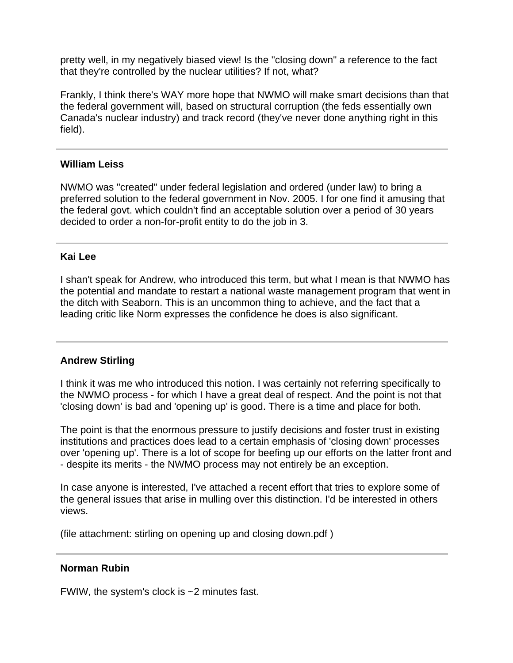pretty well, in my negatively biased view! Is the "closing down" a reference to the fact that they're controlled by the nuclear utilities? If not, what?

Frankly, I think there's WAY more hope that NWMO will make smart decisions than that the federal government will, based on structural corruption (the feds essentially own Canada's nuclear industry) and track record (they've never done anything right in this field).

### **William Leiss**

NWMO was "created" under federal legislation and ordered (under law) to bring a preferred solution to the federal government in Nov. 2005. I for one find it amusing that the federal govt. which couldn't find an acceptable solution over a period of 30 years decided to order a non-for-profit entity to do the job in 3.

### **Kai Lee**

I shan't speak for Andrew, who introduced this term, but what I mean is that NWMO has the potential and mandate to restart a national waste management program that went in the ditch with Seaborn. This is an uncommon thing to achieve, and the fact that a leading critic like Norm expresses the confidence he does is also significant.

## **Andrew Stirling**

I think it was me who introduced this notion. I was certainly not referring specifically to the NWMO process - for which I have a great deal of respect. And the point is not that 'closing down' is bad and 'opening up' is good. There is a time and place for both.

The point is that the enormous pressure to justify decisions and foster trust in existing institutions and practices does lead to a certain emphasis of 'closing down' processes over 'opening up'. There is a lot of scope for beefing up our efforts on the latter front and - despite its merits - the NWMO process may not entirely be an exception.

In case anyone is interested, I've attached a recent effort that tries to explore some of the general issues that arise in mulling over this distinction. I'd be interested in others views.

(file attachment: stirling on opening up and closing down.pdf )

## **Norman Rubin**

FWIW, the system's clock is ~2 minutes fast.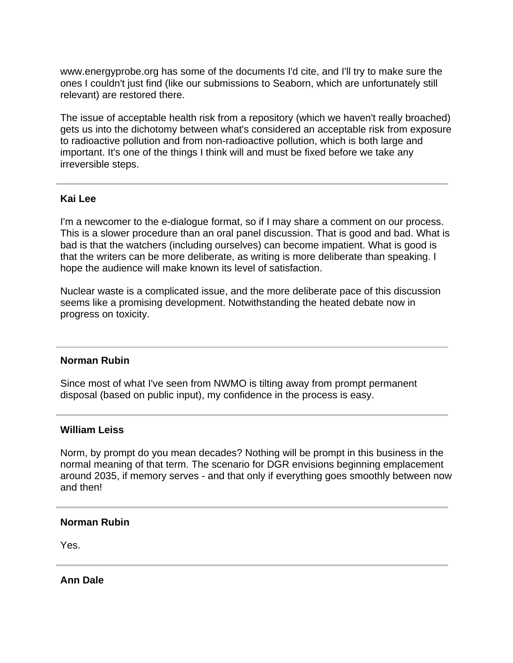www.energyprobe.org has some of the documents I'd cite, and I'll try to make sure the ones I couldn't just find (like our submissions to Seaborn, which are unfortunately still relevant) are restored there.

The issue of acceptable health risk from a repository (which we haven't really broached) gets us into the dichotomy between what's considered an acceptable risk from exposure to radioactive pollution and from non-radioactive pollution, which is both large and important. It's one of the things I think will and must be fixed before we take any irreversible steps.

### **Kai Lee**

I'm a newcomer to the e-dialogue format, so if I may share a comment on our process. This is a slower procedure than an oral panel discussion. That is good and bad. What is bad is that the watchers (including ourselves) can become impatient. What is good is that the writers can be more deliberate, as writing is more deliberate than speaking. I hope the audience will make known its level of satisfaction.

Nuclear waste is a complicated issue, and the more deliberate pace of this discussion seems like a promising development. Notwithstanding the heated debate now in progress on toxicity.

#### **Norman Rubin**

Since most of what I've seen from NWMO is tilting away from prompt permanent disposal (based on public input), my confidence in the process is easy.

#### **William Leiss**

Norm, by prompt do you mean decades? Nothing will be prompt in this business in the normal meaning of that term. The scenario for DGR envisions beginning emplacement around 2035, if memory serves - and that only if everything goes smoothly between now and then!

#### **Norman Rubin**

Yes.

**Ann Dale**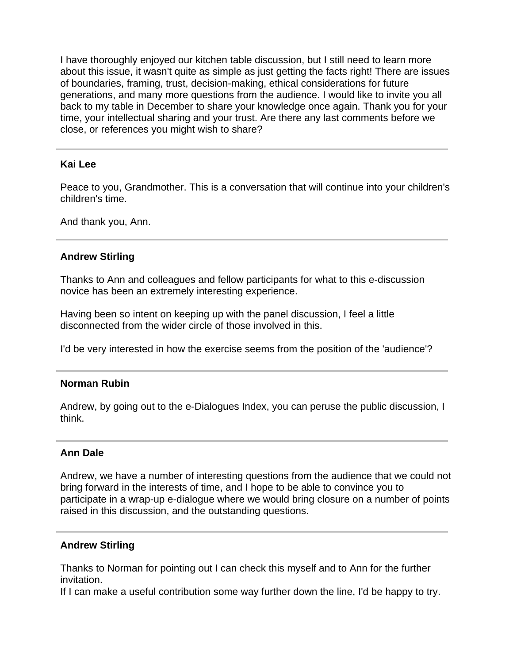I have thoroughly enjoyed our kitchen table discussion, but I still need to learn more about this issue, it wasn't quite as simple as just getting the facts right! There are issues of boundaries, framing, trust, decision-making, ethical considerations for future generations, and many more questions from the audience. I would like to invite you all back to my table in December to share your knowledge once again. Thank you for your time, your intellectual sharing and your trust. Are there any last comments before we close, or references you might wish to share?

### **Kai Lee**

Peace to you, Grandmother. This is a conversation that will continue into your children's children's time.

And thank you, Ann.

### **Andrew Stirling**

Thanks to Ann and colleagues and fellow participants for what to this e-discussion novice has been an extremely interesting experience.

Having been so intent on keeping up with the panel discussion, I feel a little disconnected from the wider circle of those involved in this.

I'd be very interested in how the exercise seems from the position of the 'audience'?

#### **Norman Rubin**

Andrew, by going out to the e-Dialogues Index, you can peruse the public discussion, I think.

#### **Ann Dale**

Andrew, we have a number of interesting questions from the audience that we could not bring forward in the interests of time, and I hope to be able to convince you to participate in a wrap-up e-dialogue where we would bring closure on a number of points raised in this discussion, and the outstanding questions.

#### **Andrew Stirling**

Thanks to Norman for pointing out I can check this myself and to Ann for the further invitation.

If I can make a useful contribution some way further down the line, I'd be happy to try.